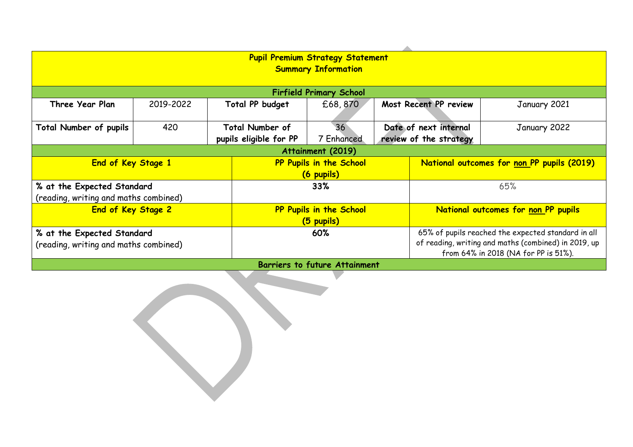| <b>Pupil Premium Strategy Statement</b> |           |  |                         |                 |  |                                                      |              |  |  |
|-----------------------------------------|-----------|--|-------------------------|-----------------|--|------------------------------------------------------|--------------|--|--|
| <b>Summary Information</b>              |           |  |                         |                 |  |                                                      |              |  |  |
|                                         |           |  |                         |                 |  |                                                      |              |  |  |
|                                         |           |  |                         |                 |  |                                                      |              |  |  |
| <b>Firfield Primary School</b>          |           |  |                         |                 |  |                                                      |              |  |  |
| Three Year Plan                         | 2019-2022 |  | Total PP budget         | £68,870         |  | Most Recent PP review<br>January 2021                |              |  |  |
|                                         |           |  |                         |                 |  |                                                      |              |  |  |
| <b>Total Number of pupils</b>           | 420       |  | <b>Total Number of</b>  | 36 <sup>°</sup> |  | Date of next internal                                | January 2022 |  |  |
|                                         |           |  | pupils eligible for PP  | 7 Enhanced      |  | review of the strategy                               |              |  |  |
| Attainment (2019)                       |           |  |                         |                 |  |                                                      |              |  |  |
| End of Key Stage 1                      |           |  | PP Pupils in the School |                 |  | National outcomes for non PP pupils (2019)           |              |  |  |
|                                         |           |  | (6 pupils)              |                 |  |                                                      |              |  |  |
| % at the Expected Standard              |           |  | 33%                     |                 |  | 65%                                                  |              |  |  |
| (reading, writing and maths combined)   |           |  |                         |                 |  |                                                      |              |  |  |
| End of Key Stage 2                      |           |  | PP Pupils in the School |                 |  | National outcomes for non PP pupils                  |              |  |  |
|                                         |           |  |                         |                 |  |                                                      |              |  |  |
|                                         |           |  | (5 pupils)              |                 |  |                                                      |              |  |  |
| % at the Expected Standard              |           |  | 60%                     |                 |  | 65% of pupils reached the expected standard in all   |              |  |  |
| (reading, writing and maths combined)   |           |  |                         |                 |  | of reading, writing and maths (combined) in 2019, up |              |  |  |
|                                         |           |  |                         |                 |  | from 64% in 2018 (NA for PP is 51%).                 |              |  |  |
| <b>Barriers to future Attainment</b>    |           |  |                         |                 |  |                                                      |              |  |  |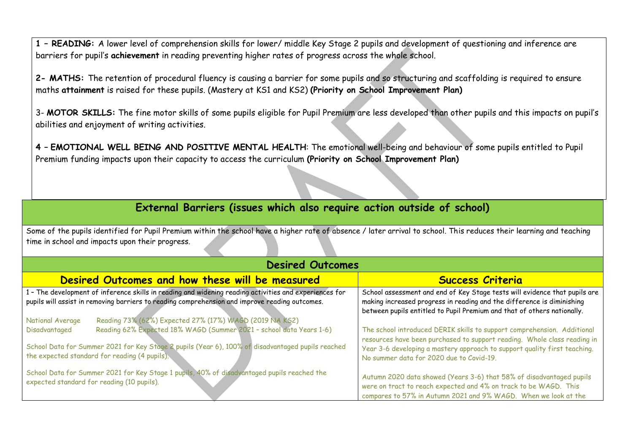**1 – READING:** A lower level of comprehension skills for lower/ middle Key Stage 2 pupils and development of questioning and inference are barriers for pupil's **achievement** in reading preventing higher rates of progress across the whole school.

**2- MATHS:** The retention of procedural fluency is causing a barrier for some pupils and so structuring and scaffolding is required to ensure maths **attainment** is raised for these pupils. (Mastery at KS1 and KS2) **(Priority on School Improvement Plan)**

3- **MOTOR SKILLS:** The fine motor skills of some pupils eligible for Pupil Premium are less developed than other pupils and this impacts on pupil's abilities and enjoyment of writing activities.

**4 – EMOTIONAL WELL BEING AND POSITIVE MENTAL HEALTH**: The emotional well-being and behaviour of some pupils entitled to Pupil Premium funding impacts upon their capacity to access the curriculum **(Priority on School Improvement Plan)**

## **External Barriers (issues which also require action outside of school)**

Some of the pupils identified for Pupil Premium within the school have a higher rate of absence / later arrival to school. This reduces their learning and teaching time in school and impacts upon their progress.

| <b>Desired Outcomes</b>                                                                                                                                                                                                                                                                        |                                                                                                                                                                                                                                                                              |  |  |  |  |  |
|------------------------------------------------------------------------------------------------------------------------------------------------------------------------------------------------------------------------------------------------------------------------------------------------|------------------------------------------------------------------------------------------------------------------------------------------------------------------------------------------------------------------------------------------------------------------------------|--|--|--|--|--|
| Desired Outcomes and how these will be measured                                                                                                                                                                                                                                                | <b>Success Criteria</b>                                                                                                                                                                                                                                                      |  |  |  |  |  |
| 1 - The development of inference skills in reading and widening reading activities and experiences for<br>pupils will assist in removing barriers to reading comprehension and improve reading outcomes.<br>Reading 73% (62%) Expected 27% (17%) WAGD (2019 NA KS2)<br><b>National Average</b> | School assessment and end of Key Stage tests will evidence that pupils are<br>making increased progress in reading and the difference is diminishing<br>between pupils entitled to Pupil Premium and that of others nationally.                                              |  |  |  |  |  |
| Reading 62% Expected 18% WAGD (Summer 2021 - school data Years 1-6)<br>Disadvantaged<br>School Data for Summer 2021 for Key Stage 2 pupils (Year 6), 100% of disadvantaged pupils reached<br>the expected standard for reading (4 pupils).                                                     | The school introduced DERIK skills to support comprehension. Additional<br>resources have been purchased to support reading. Whole class reading in<br>Year 3-6 developing a mastery approach to support quality first teaching.<br>No summer data for 2020 due to Covid-19. |  |  |  |  |  |
| School Data for Summer 2021 for Key Stage 1 pupils, 40% of disadvantaged pupils reached the<br>expected standard for reading (10 pupils).                                                                                                                                                      | Autumn 2020 data showed (Years 3-6) that 58% of disadvantaged pupils<br>were on tract to reach expected and 4% on track to be WAGD. This<br>compares to 57% in Autumn 2021 and 9% WAGD. When we look at the                                                                  |  |  |  |  |  |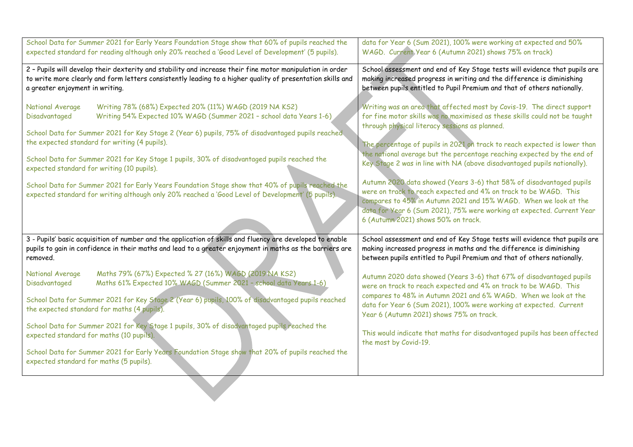| School Data for Summer 2021 for Early Years Foundation Stage show that 60% of pupils reached the                                                                                                                                                                        | data for Year 6 (Sum 2021), 100% were working at expected and 50%                                                                                                                                                                                                                                                             |  |  |
|-------------------------------------------------------------------------------------------------------------------------------------------------------------------------------------------------------------------------------------------------------------------------|-------------------------------------------------------------------------------------------------------------------------------------------------------------------------------------------------------------------------------------------------------------------------------------------------------------------------------|--|--|
| expected standard for reading although only 20% reached a 'Good Level of Development' (5 pupils).                                                                                                                                                                       | WAGD. Current Year 6 (Autumn 2021) shows 75% on track)                                                                                                                                                                                                                                                                        |  |  |
| 2 - Pupils will develop their dexterity and stability and increase their fine motor manipulation in order                                                                                                                                                               | School assessment and end of Key Stage tests will evidence that pupils are                                                                                                                                                                                                                                                    |  |  |
| to write more clearly and form letters consistently leading to a higher quality of presentation skills and                                                                                                                                                              | making increased progress in writing and the difference is diminishing                                                                                                                                                                                                                                                        |  |  |
| a greater enjoyment in writing.                                                                                                                                                                                                                                         | between pupils entitled to Pupil Premium and that of others nationally.                                                                                                                                                                                                                                                       |  |  |
| National Average<br>Writing 78% (68%) Expected 20% (11%) WAGD (2019 NA KS2)<br>Disadvantaged<br>Writing 54% Expected 10% WAGD (Summer 2021 - school data Years 1-6)<br>School Data for Summer 2021 for Key Stage 2 (Year 6) pupils, 75% of disadvantaged pupils reached | Writing was an area that affected most by Covis-19. The direct support<br>for fine motor skills was no maximised as these skills could not be taught<br>through physical literacy sessions as planned.                                                                                                                        |  |  |
| the expected standard for writing (4 pupils).                                                                                                                                                                                                                           | The percentage of pupils in 2021 on track to reach expected is lower than                                                                                                                                                                                                                                                     |  |  |
| School Data for Summer 2021 for Key Stage 1 pupils, 30% of disadvantaged pupils reached the                                                                                                                                                                             | the national average but the percentage reaching expected by the end of                                                                                                                                                                                                                                                       |  |  |
| expected standard for writing (10 pupils).                                                                                                                                                                                                                              | Key Stage 2 was in line with NA (above disadvantaged pupils nationally).                                                                                                                                                                                                                                                      |  |  |
| School Data for Summer 2021 for Early Years Foundation Stage show that 40% of pupils reached the<br>expected standard for writing although only 20% reached a 'Good Level of Development' (5 pupils).                                                                   | Autumn 2020 data showed (Years 3-6) that 58% of disadvantaged pupils<br>were on track to reach expected and 4% on track to be WAGD. This<br>compares to 45% in Autumn 2021 and 15% WAGD. When we look at the<br>data for Year 6 (Sum 2021), 75% were working at expected. Current Year<br>6 (Autumn 2021) shows 50% on track. |  |  |
| 3 - Pupils' basic acquisition of number and the application of skills and fluency are developed to enable                                                                                                                                                               | School assessment and end of Key Stage tests will evidence that pupils are                                                                                                                                                                                                                                                    |  |  |
| pupils to gain in confidence in their maths and lead to a greater enjoyment in maths as the barriers are                                                                                                                                                                | making increased progress in maths and the difference is diminishing                                                                                                                                                                                                                                                          |  |  |
| removed.                                                                                                                                                                                                                                                                | between pupils entitled to Pupil Premium and that of others nationally.                                                                                                                                                                                                                                                       |  |  |
| Maths 79% (67%) Expected % 27 (16%) WAGD (2019 NA KS2)<br>National Average<br>Maths 61% Expected 10% WAGD (Summer 2021 - school data Years 1-6)<br>Disadvantaged                                                                                                        | Autumn 2020 data showed (Years 3-6) that 67% of disadvantaged pupils<br>were on track to reach expected and 4% on track to be WAGD. This<br>compares to 48% in Autumn 2021 and 6% WAGD. When we look at the                                                                                                                   |  |  |
| School Data for Summer 2021 for Key Stage 2 (Year 6) pupils, 100% of disadvantaged pupils reached                                                                                                                                                                       | data for Year 6 (Sum 2021), 100% were working at expected. Current                                                                                                                                                                                                                                                            |  |  |
| the expected standard for maths (4 pupils).                                                                                                                                                                                                                             | Year 6 (Autumn 2021) shows 75% on track.                                                                                                                                                                                                                                                                                      |  |  |
| School Data for Summer 2021 for Key Stage 1 pupils, 30% of disadvantaged pupils reached the                                                                                                                                                                             | This would indicate that maths for disadvantaged pupils has been affected                                                                                                                                                                                                                                                     |  |  |
| expected standard for maths (10 pupils).                                                                                                                                                                                                                                | the most by Covid-19.                                                                                                                                                                                                                                                                                                         |  |  |
| School Data for Summer 2021 for Early Years Foundation Stage show that 20% of pupils reached the<br>expected standard for maths (5 pupils).                                                                                                                             |                                                                                                                                                                                                                                                                                                                               |  |  |
|                                                                                                                                                                                                                                                                         |                                                                                                                                                                                                                                                                                                                               |  |  |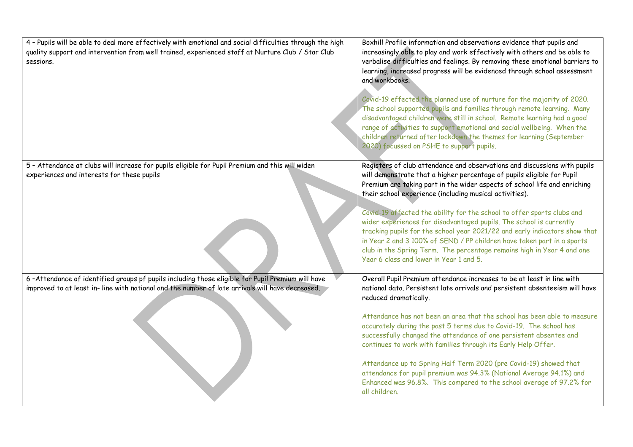| 4 - Pupils will be able to deal more effectively with emotional and social difficulties through the high                                                                                             | Boxhill Profile information and observations evidence that pupils and                                                                                                                                                                                                                                                                                                                                                                                                                                                                                                                                                                                                                                                     |
|------------------------------------------------------------------------------------------------------------------------------------------------------------------------------------------------------|---------------------------------------------------------------------------------------------------------------------------------------------------------------------------------------------------------------------------------------------------------------------------------------------------------------------------------------------------------------------------------------------------------------------------------------------------------------------------------------------------------------------------------------------------------------------------------------------------------------------------------------------------------------------------------------------------------------------------|
| quality support and intervention from well trained, experienced staff at Nurture Club / Star Club<br>sessions.                                                                                       | increasingly able to play and work effectively with others and be able to<br>verbalise difficulties and feelings. By removing these emotional barriers to<br>learning, increased progress will be evidenced through school assessment<br>and workbooks.<br>Covid-19 effected the planned use of nurture for the majority of 2020.<br>The school supported pupils and families through remote learning. Many<br>disadvantaged children were still in school. Remote learning had a good<br>range of activities to support emotional and social wellbeing. When the<br>children returned after lockdown the themes for learning (September<br>2020) focussed on PSHE to support pupils.                                     |
| 5 - Attendance at clubs will increase for pupils eligible for Pupil Premium and this will widen<br>experiences and interests for these pupils                                                        | Registers of club attendance and observations and discussions with pupils<br>will demonstrate that a higher percentage of pupils eligible for Pupil<br>Premium are taking part in the wider aspects of school life and enriching<br>their school experience (including musical activities).<br>Covid-19 affected the ability for the school to offer sports clubs and<br>wider experiences for disadvantaged pupils. The school is currently<br>tracking pupils for the school year 2021/22 and early indicators show that<br>in Year 2 and 3 100% of SEND / PP children have taken part in a sports<br>club in the Spring Term. The percentage remains high in Year 4 and one<br>Year 6 class and lower in Year 1 and 5. |
| 6-Attendance of identified groups pf pupils including those eligible for Pupil Premium will have<br>improved to at least in- line with national and the number of late arrivals will have decreased. | Overall Pupil Premium attendance increases to be at least in line with<br>national data. Persistent late arrivals and persistent absenteeism will have<br>reduced dramatically.<br>Attendance has not been an area that the school has been able to measure<br>accurately during the past 5 terms due to Covid-19. The school has<br>successfully changed the attendance of one persistent absentee and<br>continues to work with families through its Early Help Offer.<br>Attendance up to Spring Half Term 2020 (pre Covid-19) showed that<br>attendance for pupil premium was 94.3% (National Average 94.1%) and<br>Enhanced was 96.8%. This compared to the school average of 97.2% for<br>all children.             |